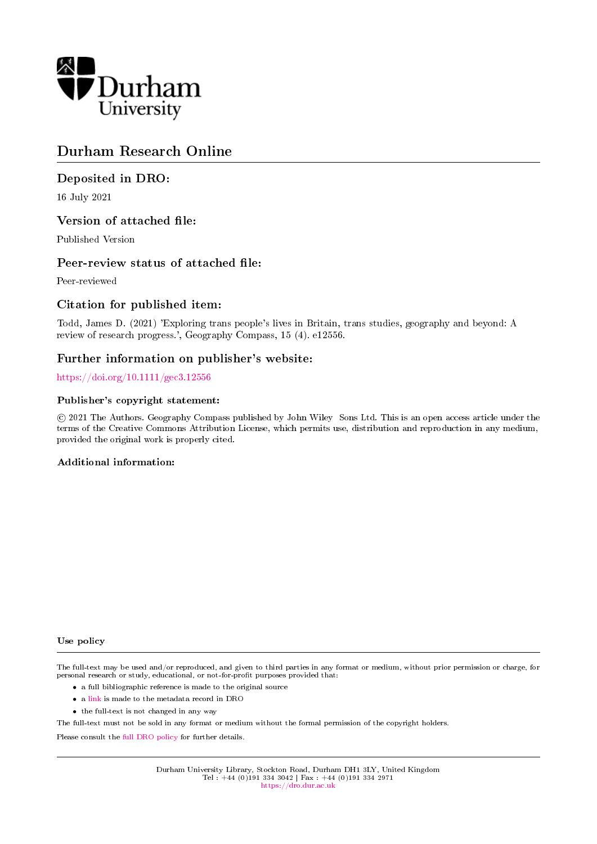

# Durham Research Online

# Deposited in DRO:

16 July 2021

# Version of attached file:

Published Version

# Peer-review status of attached file:

Peer-reviewed

# Citation for published item:

Todd, James D. (2021) 'Exploring trans people's lives in Britain, trans studies, geography and beyond: A review of research progress.', Geography Compass, 15 (4). e12556.

# Further information on publisher's website:

<https://doi.org/10.1111/gec3.12556>

### Publisher's copyright statement:

 c 2021 The Authors. Geography Compass published by John Wiley Sons Ltd. This is an open access article under the terms of the Creative Commons Attribution License, which permits use, distribution and reproduction in any medium, provided the original work is properly cited.

## Additional information:

#### Use policy

The full-text may be used and/or reproduced, and given to third parties in any format or medium, without prior permission or charge, for personal research or study, educational, or not-for-profit purposes provided that:

- a full bibliographic reference is made to the original source
- a [link](http://dro.dur.ac.uk/33378/) is made to the metadata record in DRO
- the full-text is not changed in any way

The full-text must not be sold in any format or medium without the formal permission of the copyright holders.

Please consult the [full DRO policy](https://dro.dur.ac.uk/policies/usepolicy.pdf) for further details.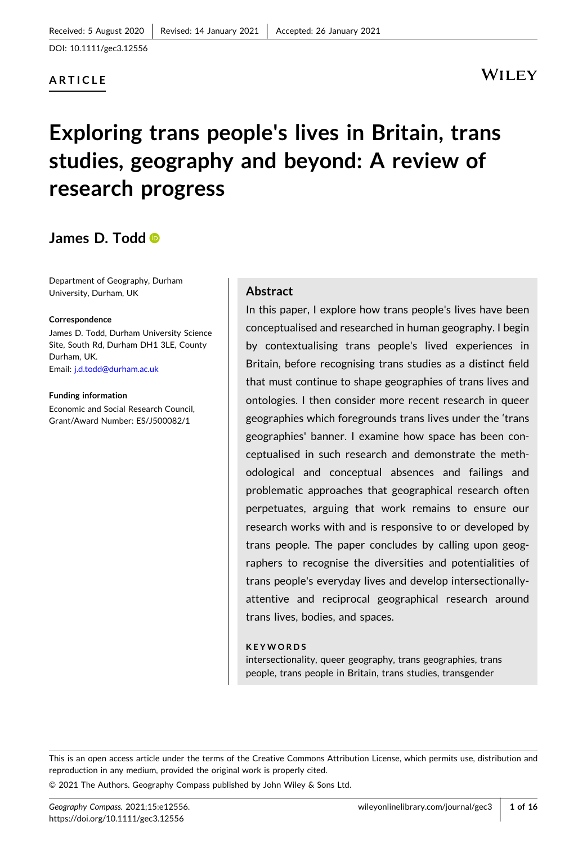DOI: [10.1111/gec3.12556](https://doi.org/10.1111/gec3.12556)

### **ARTICLE**

# WILEY

# **Exploring trans people's lives in Britain, trans studies, geography and beyond: A review of research progress**

# **James D. Todd**

Department of Geography, Durham University, Durham, UK

#### **Correspondence**

James D. Todd, Durham University Science Site, South Rd, Durham DH1 3LE, County Durham, UK. Email: [j.d.todd@durham.ac.uk](mailto:j.d.todd@durham.ac.uk)

**Funding information** Economic and Social Research Council, Grant/Award Number: ES/J500082/1

#### **Abstract**

In this paper, I explore how trans people's lives have been conceptualised and researched in human geography. I begin by contextualising trans people's lived experiences in Britain, before recognising trans studies as a distinct field that must continue to shape geographies of trans lives and ontologies. I then consider more recent research in queer geographies which foregrounds trans lives under the 'trans geographies' banner. I examine how space has been conceptualised in such research and demonstrate the methodological and conceptual absences and failings and problematic approaches that geographical research often perpetuates, arguing that work remains to ensure our research works with and is responsive to or developed by trans people. The paper concludes by calling upon geographers to recognise the diversities and potentialities of trans people's everyday lives and develop intersectionally‐ attentive and reciprocal geographical research around trans lives, bodies, and spaces.

#### **KEYWORDS**

intersectionality, queer geography, trans geographies, trans people, trans people in Britain, trans studies, transgender

This is an open access article under the terms of the Creative Commons Attribution License, which permits use, distribution and reproduction in any medium, provided the original work is properly cited.

© 2021 The Authors. Geography Compass published by John Wiley & Sons Ltd.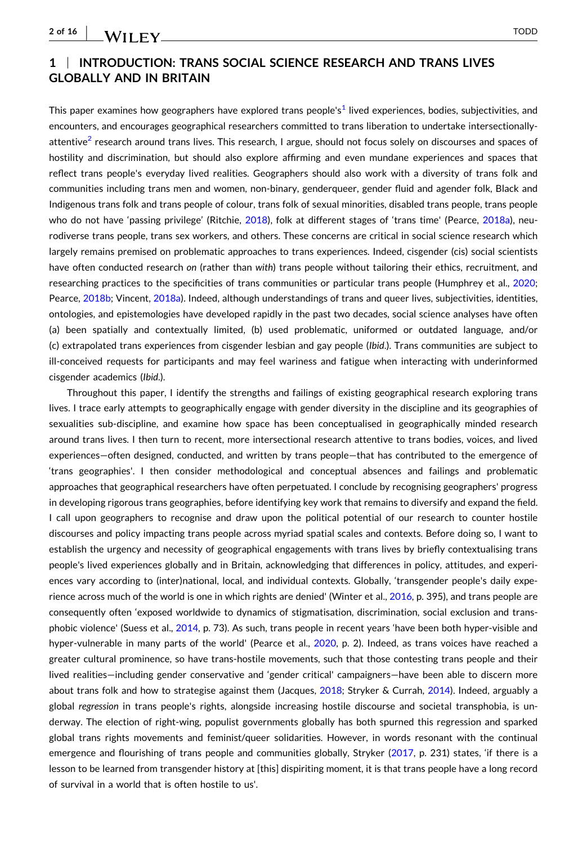### **1** <sup>|</sup> **INTRODUCTION: TRANS SOCIAL SCIENCE RESEARCH AND TRANS LIVES GLOBALLY AND IN BRITAIN**

This paper examines how geographers have explored trans people's<sup>[1](#page-11-0)</sup> lived experiences, bodies, subjectivities, and encounters, and encourages geographical researchers committed to trans liberation to undertake intersectionally‐ attentive<sup>2</sup> research around trans lives. This research, I argue, should not focus solely on discourses and spaces of hostility and discrimination, but should also explore affirming and even mundane experiences and spaces that reflect trans people's everyday lived realities. Geographers should also work with a diversity of trans folk and communities including trans men and women, non‐binary, genderqueer, gender fluid and agender folk, Black and Indigenous trans folk and trans people of colour, trans folk of sexual minorities, disabled trans people, trans people who do not have 'passing privilege' (Ritchie, [2018\)](#page-15-0), folk at different stages of 'trans time' (Pearce, [2018a](#page-15-0)), neurodiverse trans people, trans sex workers, and others. These concerns are critical in social science research which largely remains premised on problematic approaches to trans experiences. Indeed, cisgender (cis) social scientists have often conducted research *on* (rather than *with*) trans people without tailoring their ethics, recruitment, and researching practices to the specificities of trans communities or particular trans people (Humphrey et al., [2020](#page-14-0); Pearce, [2018b;](#page-15-0) Vincent, [2018a](#page-16-0)). Indeed, although understandings of trans and queer lives, subjectivities, identities, ontologies, and epistemologies have developed rapidly in the past two decades, social science analyses have often (a) been spatially and contextually limited, (b) used problematic, uniformed or outdated language, and/or (c) extrapolated trans experiences from cisgender lesbian and gay people (*Ibid*.). Trans communities are subject to ill‐conceived requests for participants and may feel wariness and fatigue when interacting with underinformed cisgender academics (*Ibid*.).

Throughout this paper, I identify the strengths and failings of existing geographical research exploring trans lives. I trace early attempts to geographically engage with gender diversity in the discipline and its geographies of sexualities sub-discipline, and examine how space has been conceptualised in geographically minded research around trans lives. I then turn to recent, more intersectional research attentive to trans bodies, voices, and lived experiences—often designed, conducted, and written by trans people—that has contributed to the emergence of 'trans geographies'. I then consider methodological and conceptual absences and failings and problematic approaches that geographical researchers have often perpetuated. I conclude by recognising geographers' progress in developing rigorous trans geographies, before identifying key work that remains to diversify and expand the field. I call upon geographers to recognise and draw upon the political potential of our research to counter hostile discourses and policy impacting trans people across myriad spatial scales and contexts. Before doing so, I want to establish the urgency and necessity of geographical engagements with trans lives by briefly contextualising trans people's lived experiences globally and in Britain, acknowledging that differences in policy, attitudes, and experiences vary according to (inter)national, local, and individual contexts. Globally, 'transgender people's daily experience across much of the world is one in which rights are denied' (Winter et al., [2016](#page-16-0), p. 395), and trans people are consequently often 'exposed worldwide to dynamics of stigmatisation, discrimination, social exclusion and transphobic violence' (Suess et al., [2014,](#page-15-0) p. 73). As such, trans people in recent years 'have been both hyper‐visible and hyper-vulnerable in many parts of the world' (Pearce et al., [2020,](#page-15-0) p. 2). Indeed, as trans voices have reached a greater cultural prominence, so have trans‐hostile movements, such that those contesting trans people and their lived realities—including gender conservative and 'gender critical' campaigners—have been able to discern more about trans folk and how to strategise against them (Jacques, [2018;](#page-14-0) Stryker & Currah, [2014\)](#page-15-0). Indeed, arguably a global *regression* in trans people's rights, alongside increasing hostile discourse and societal transphobia, is underway. The election of right‐wing, populist governments globally has both spurned this regression and sparked global trans rights movements and feminist/queer solidarities. However, in words resonant with the continual emergence and flourishing of trans people and communities globally, Stryker [\(2017,](#page-15-0) p. 231) states, 'if there is a lesson to be learned from transgender history at [this] dispiriting moment, it is that trans people have a long record of survival in a world that is often hostile to us'.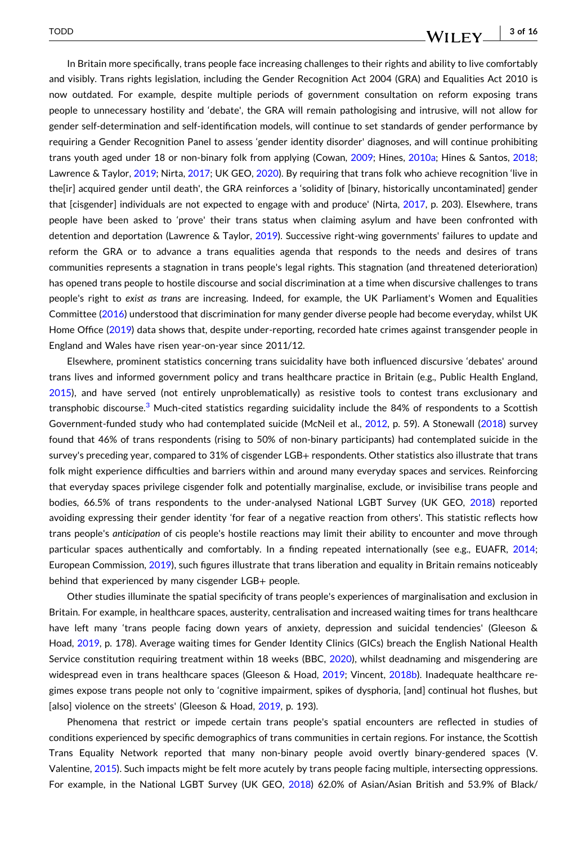#### - **3 of 16**WILEY

In Britain more specifically, trans people face increasing challenges to their rights and ability to live comfortably and visibly. Trans rights legislation, including the Gender Recognition Act 2004 (GRA) and Equalities Act 2010 is now outdated. For example, despite multiple periods of government consultation on reform exposing trans people to unnecessary hostility and 'debate', the GRA will remain pathologising and intrusive, will not allow for gender self‐determination and self‐identification models, will continue to set standards of gender performance by requiring a Gender Recognition Panel to assess 'gender identity disorder' diagnoses, and will continue prohibiting trans youth aged under 18 or non-binary folk from applying (Cowan, [2009](#page-13-0); Hines, [2010a;](#page-13-0) Hines & Santos, [2018](#page-13-0); Lawrence & Taylor, [2019;](#page-14-0) Nirta, [2017;](#page-15-0) UK GEO, [2020](#page-16-0)). By requiring that trans folk who achieve recognition 'live in the [ir] acquired gender until death', the GRA reinforces a 'solidity of [binary, historically uncontaminated] gender that [cisgender] individuals are not expected to engage with and produce' (Nirta, [2017](#page-15-0), p. 203). Elsewhere, trans people have been asked to 'prove' their trans status when claiming asylum and have been confronted with detention and deportation (Lawrence & Taylor, [2019](#page-14-0)). Successive right‐wing governments' failures to update and reform the GRA or to advance a trans equalities agenda that responds to the needs and desires of trans communities represents a stagnation in trans people's legal rights. This stagnation (and threatened deterioration) has opened trans people to hostile discourse and social discrimination at a time when discursive challenges to trans people's right to *exist as trans* are increasing. Indeed, for example, the UK Parliament's Women and Equalities Committee [\(2016\)](#page-16-0) understood that discrimination for many gender diverse people had become everyday, whilst UK Home Office [\(2019\)](#page-13-0) data shows that, despite under‐reporting, recorded hate crimes against transgender people in England and Wales have risen year‐on‐year since 2011/12.

Elsewhere, prominent statistics concerning trans suicidality have both influenced discursive 'debates' around trans lives and informed government policy and trans healthcare practice in Britain (e.g., Public Health England, [2015](#page-15-0)), and have served (not entirely unproblematically) as resistive tools to contest trans exclusionary and transphobic discourse.<sup>[3](#page-11-0)</sup> Much-cited statistics regarding suicidality include the 84% of respondents to a Scottish Government-funded study who had contemplated suicide (McNeil et al., [2012,](#page-14-0) p. 59). A Stonewall [\(2018\)](#page-15-0) survey found that 46% of trans respondents (rising to 50% of non‐binary participants) had contemplated suicide in the survey's preceding year, compared to 31% of cisgender LGB+ respondents. Other statistics also illustrate that trans folk might experience difficulties and barriers within and around many everyday spaces and services. Reinforcing that everyday spaces privilege cisgender folk and potentially marginalise, exclude, or invisibilise trans people and bodies, 66.5% of trans respondents to the under-analysed National LGBT Survey (UK GEO, [2018\)](#page-16-0) reported avoiding expressing their gender identity 'for fear of a negative reaction from others'. This statistic reflects how trans people's *anticipation* of cis people's hostile reactions may limit their ability to encounter and move through particular spaces authentically and comfortably. In a finding repeated internationally (see e.g., EUAFR, [2014](#page-13-0); European Commission, [2019\)](#page-13-0), such figures illustrate that trans liberation and equality in Britain remains noticeably behind that experienced by many cisgender LGB+ people.

Other studies illuminate the spatial specificity of trans people's experiences of marginalisation and exclusion in Britain. For example, in healthcare spaces, austerity, centralisation and increased waiting times for trans healthcare have left many 'trans people facing down years of anxiety, depression and suicidal tendencies' (Gleeson & Hoad, [2019](#page-13-0), p. 178). Average waiting times for Gender Identity Clinics (GICs) breach the English National Health Service constitution requiring treatment within 18 weeks (BBC, [2020\)](#page-12-0), whilst deadnaming and misgendering are widespread even in trans healthcare spaces (Gleeson & Hoad, [2019;](#page-13-0) Vincent, [2018b](#page-16-0)). Inadequate healthcare regimes expose trans people not only to 'cognitive impairment, spikes of dysphoria, [and] continual hot flushes, but [also] violence on the streets' (Gleeson & Hoad, [2019,](#page-13-0) p. 193).

Phenomena that restrict or impede certain trans people's spatial encounters are reflected in studies of conditions experienced by specific demographics of trans communities in certain regions. For instance, the Scottish Trans Equality Network reported that many non-binary people avoid overtly binary-gendered spaces (V. Valentine, [2015](#page-16-0)). Such impacts might be felt more acutely by trans people facing multiple, intersecting oppressions. For example, in the National LGBT Survey (UK GEO, [2018\)](#page-16-0) 62.0% of Asian/Asian British and 53.9% of Black/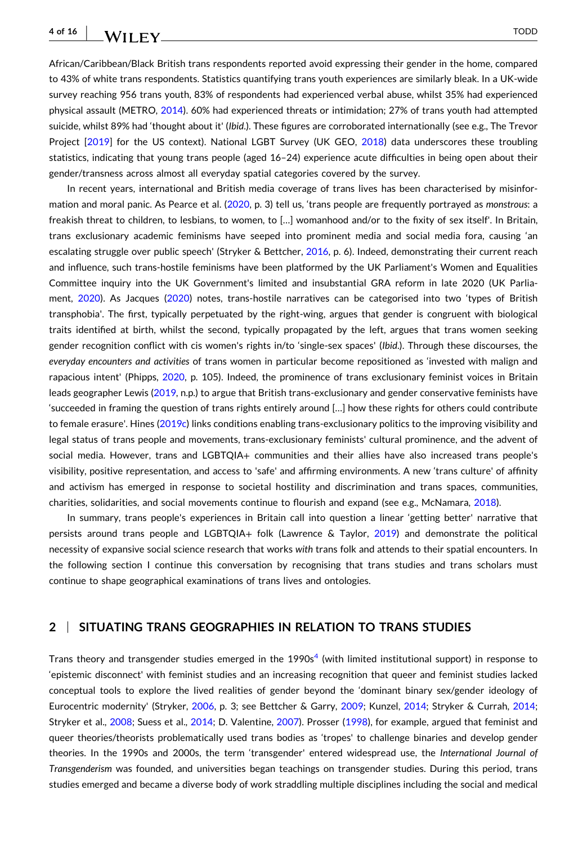# WILEY TODD

African/Caribbean/Black British trans respondents reported avoid expressing their gender in the home, compared to 43% of white trans respondents. Statistics quantifying trans youth experiences are similarly bleak. In a UK‐wide survey reaching 956 trans youth, 83% of respondents had experienced verbal abuse, whilst 35% had experienced physical assault (METRO, [2014](#page-14-0)). 60% had experienced threats or intimidation; 27% of trans youth had attempted suicide, whilst 89% had 'thought about it' (*Ibid*.). These figures are corroborated internationally (see e.g., The Trevor Project [\[2019](#page-15-0)] for the US context). National LGBT Survey (UK GEO, [2018](#page-16-0)) data underscores these troubling statistics, indicating that young trans people (aged 16–24) experience acute difficulties in being open about their gender/transness across almost all everyday spatial categories covered by the survey.

In recent years, international and British media coverage of trans lives has been characterised by misinformation and moral panic. As Pearce et al. ([2020](#page-15-0), p. 3) tell us, 'trans people are frequently portrayed as *monstrous*: a freakish threat to children, to lesbians, to women, to […] womanhood and/or to the fixity of sex itself'. In Britain, trans exclusionary academic feminisms have seeped into prominent media and social media fora, causing 'an escalating struggle over public speech' (Stryker & Bettcher, [2016](#page-15-0), p. 6). Indeed, demonstrating their current reach and influence, such trans‐hostile feminisms have been platformed by the UK Parliament's Women and Equalities Committee inquiry into the UK Government's limited and insubstantial GRA reform in late 2020 (UK Parliament, [2020\)](#page-16-0). As Jacques ([2020](#page-14-0)) notes, trans‐hostile narratives can be categorised into two 'types of British transphobia'. The first, typically perpetuated by the right‐wing, argues that gender is congruent with biological traits identified at birth, whilst the second, typically propagated by the left, argues that trans women seeking gender recognition conflict with cis women's rights in/to 'single‐sex spaces' (*Ibid*.). Through these discourses, the *everyday encounters and activities* of trans women in particular become repositioned as 'invested with malign and rapacious intent' (Phipps, [2020,](#page-15-0) p. 105). Indeed, the prominence of trans exclusionary feminist voices in Britain leads geographer Lewis [\(2019,](#page-14-0) n.p.) to argue that British trans‐exclusionary and gender conservative feminists have 'succeeded in framing the question of trans rights entirely around […] how these rights for others could contribute to female erasure'. Hines ([2019c](#page-13-0)) links conditions enabling trans-exclusionary politics to the improving visibility and legal status of trans people and movements, trans‐exclusionary feminists' cultural prominence, and the advent of social media. However, trans and LGBTQIA+ communities and their allies have also increased trans people's visibility, positive representation, and access to 'safe' and affirming environments. A new 'trans culture' of affinity and activism has emerged in response to societal hostility and discrimination and trans spaces, communities, charities, solidarities, and social movements continue to flourish and expand (see e.g., McNamara, [2018\)](#page-14-0).

In summary, trans people's experiences in Britain call into question a linear 'getting better' narrative that persists around trans people and LGBTQIA+ folk (Lawrence & Taylor, [2019\)](#page-14-0) and demonstrate the political necessity of expansive social science research that works *with* trans folk and attends to their spatial encounters. In the following section I continue this conversation by recognising that trans studies and trans scholars must continue to shape geographical examinations of trans lives and ontologies.

### **2** <sup>|</sup> **SITUATING TRANS GEOGRAPHIES IN RELATION TO TRANS STUDIES**

Trans theory and transgender studies emerged in the  $1990s<sup>4</sup>$  (with limited institutional support) in response to 'epistemic disconnect' with feminist studies and an increasing recognition that queer and feminist studies lacked conceptual tools to explore the lived realities of gender beyond the 'dominant binary sex/gender ideology of Eurocentric modernity' (Stryker, [2006,](#page-15-0) p. 3; see Bettcher & Garry, [2009](#page-12-0); Kunzel, [2014](#page-14-0); Stryker & Currah, [2014](#page-15-0); Stryker et al., [2008](#page-15-0); Suess et al., [2014;](#page-15-0) D. Valentine, [2007\)](#page-16-0). Prosser [\(1998\)](#page-15-0), for example, argued that feminist and queer theories/theorists problematically used trans bodies as 'tropes' to challenge binaries and develop gender theories. In the 1990s and 2000s, the term 'transgender' entered widespread use, the *International Journal of Transgenderism* was founded, and universities began teachings on transgender studies. During this period, trans studies emerged and became a diverse body of work straddling multiple disciplines including the social and medical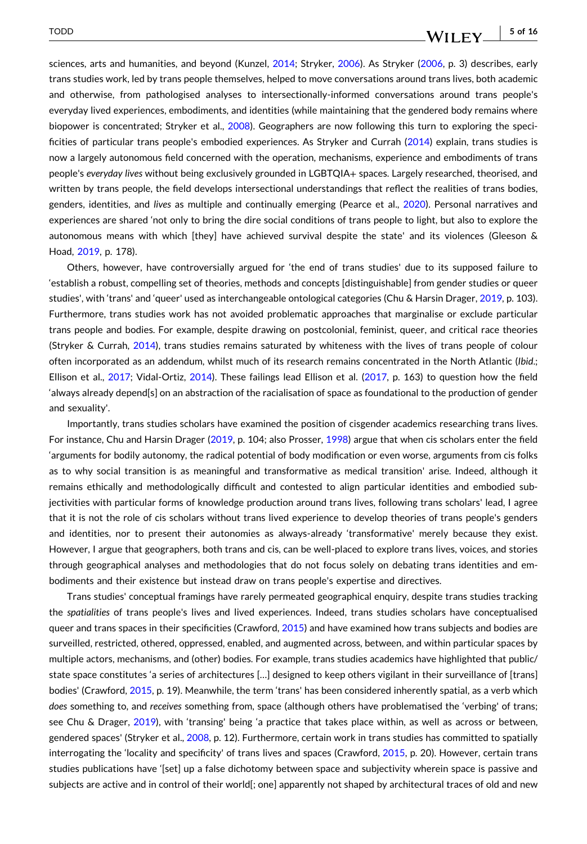#### - **5 of 16**WILEY

sciences, arts and humanities, and beyond (Kunzel, [2014;](#page-14-0) Stryker, [2006](#page-15-0)). As Stryker [\(2006,](#page-15-0) p. 3) describes, early trans studies work, led by trans people themselves, helped to move conversations around trans lives, both academic and otherwise, from pathologised analyses to intersectionally‐informed conversations around trans people's everyday lived experiences, embodiments, and identities (while maintaining that the gendered body remains where biopower is concentrated; Stryker et al., [2008\)](#page-15-0). Geographers are now following this turn to exploring the specificities of particular trans people's embodied experiences. As Stryker and Currah [\(2014\)](#page-15-0) explain, trans studies is now a largely autonomous field concerned with the operation, mechanisms, experience and embodiments of trans people's *everyday lives* without being exclusively grounded in LGBTQIA+ spaces. Largely researched, theorised, and written by trans people, the field develops intersectional understandings that reflect the realities of trans bodies, genders, identities, and *lives* as multiple and continually emerging (Pearce et al., [2020](#page-15-0)). Personal narratives and experiences are shared 'not only to bring the dire social conditions of trans people to light, but also to explore the autonomous means with which [they] have achieved survival despite the state' and its violences (Gleeson & Hoad, [2019](#page-13-0), p. 178).

Others, however, have controversially argued for 'the end of trans studies' due to its supposed failure to 'establish a robust, compelling set of theories, methods and concepts [distinguishable] from gender studies or queer studies', with 'trans' and 'queer' used as interchangeable ontological categories (Chu & Harsin Drager, [2019,](#page-13-0) p. 103). Furthermore, trans studies work has not avoided problematic approaches that marginalise or exclude particular trans people and bodies. For example, despite drawing on postcolonial, feminist, queer, and critical race theories (Stryker & Currah, [2014\)](#page-15-0), trans studies remains saturated by whiteness with the lives of trans people of colour often incorporated as an addendum, whilst much of its research remains concentrated in the North Atlantic (*Ibid*.; Ellison et al., [2017;](#page-13-0) Vidal‐Ortiz, [2014](#page-16-0)). These failings lead Ellison et al. [\(2017,](#page-13-0) p. 163) to question how the field 'always already depend[s] on an abstraction of the racialisation of space as foundational to the production of gender and sexuality'.

Importantly, trans studies scholars have examined the position of cisgender academics researching trans lives. For instance, Chu and Harsin Drager ([2019](#page-13-0), p. 104; also Prosser, [1998\)](#page-15-0) argue that when cis scholars enter the field 'arguments for bodily autonomy, the radical potential of body modification or even worse, arguments from cis folks as to why social transition is as meaningful and transformative as medical transition' arise. Indeed, although it remains ethically and methodologically difficult and contested to align particular identities and embodied subjectivities with particular forms of knowledge production around trans lives, following trans scholars' lead, I agree that it is not the role of cis scholars without trans lived experience to develop theories of trans people's genders and identities, nor to present their autonomies as always‐already 'transformative' merely because they exist. However, I argue that geographers, both trans and cis, can be well-placed to explore trans lives, voices, and stories through geographical analyses and methodologies that do not focus solely on debating trans identities and embodiments and their existence but instead draw on trans people's expertise and directives.

Trans studies' conceptual framings have rarely permeated geographical enquiry, despite trans studies tracking the *spatialities* of trans people's lives and lived experiences. Indeed, trans studies scholars have conceptualised queer and trans spaces in their specificities (Crawford, [2015](#page-13-0)) and have examined how trans subjects and bodies are surveilled, restricted, othered, oppressed, enabled, and augmented across, between, and within particular spaces by multiple actors, mechanisms, and (other) bodies. For example, trans studies academics have highlighted that public/ state space constitutes 'a series of architectures […] designed to keep others vigilant in their surveillance of [trans] bodies' (Crawford, [2015,](#page-13-0) p. 19). Meanwhile, the term 'trans' has been considered inherently spatial, as a verb which *does* something to, and *receives* something from, space (although others have problematised the 'verbing' of trans; see Chu & Drager, [2019\)](#page-13-0), with 'transing' being 'a practice that takes place within, as well as across or between, gendered spaces' (Stryker et al., [2008,](#page-15-0) p. 12). Furthermore, certain work in trans studies has committed to spatially interrogating the 'locality and specificity' of trans lives and spaces (Crawford, [2015,](#page-13-0) p. 20). However, certain trans studies publications have '[set] up a false dichotomy between space and subjectivity wherein space is passive and subjects are active and in control of their world[; one] apparently not shaped by architectural traces of old and new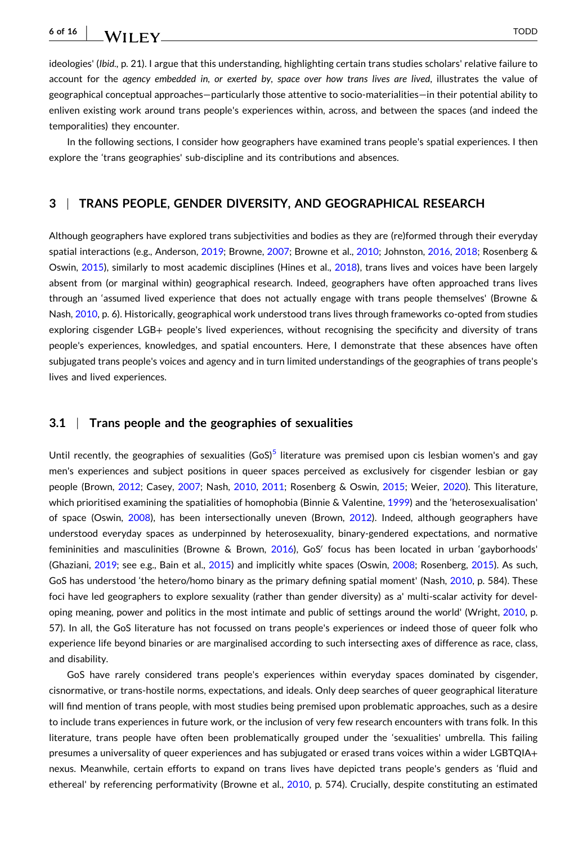WILEY TODD

ideologies' (*Ibid.,* p. 21). I argue that this understanding, highlighting certain trans studies scholars' relative failure to account for the *agency embedded in, or exerted by, space over how trans lives are lived*, illustrates the value of geographical conceptual approaches—particularly those attentive to socio‐materialities—in their potential ability to enliven existing work around trans people's experiences within, across, and between the spaces (and indeed the temporalities) they encounter.

In the following sections, I consider how geographers have examined trans people's spatial experiences. I then explore the 'trans geographies' sub-discipline and its contributions and absences.

#### **3** <sup>|</sup> **TRANS PEOPLE, GENDER DIVERSITY, AND GEOGRAPHICAL RESEARCH**

Although geographers have explored trans subjectivities and bodies as they are (re)formed through their everyday spatial interactions (e.g., Anderson, [2019;](#page-12-0) Browne, [2007](#page-12-0); Browne et al., [2010;](#page-12-0) Johnston, [2016,](#page-14-0) [2018](#page-14-0); Rosenberg & Oswin, [2015\)](#page-15-0), similarly to most academic disciplines (Hines et al., [2018\)](#page-13-0), trans lives and voices have been largely absent from (or marginal within) geographical research. Indeed, geographers have often approached trans lives through an 'assumed lived experience that does not actually engage with trans people themselves' (Browne & Nash, [2010,](#page-12-0) p. 6). Historically, geographical work understood trans lives through frameworks co-opted from studies exploring cisgender LGB+ people's lived experiences, without recognising the specificity and diversity of trans people's experiences, knowledges, and spatial encounters. Here, I demonstrate that these absences have often subjugated trans people's voices and agency and in turn limited understandings of the geographies of trans people's lives and lived experiences.

#### **3.1** <sup>|</sup> **Trans people and the geographies of sexualities**

Until recently, the geographies of sexualities  $(G \circ S)^5$  $(G \circ S)^5$  literature was premised upon cis lesbian women's and gay men's experiences and subject positions in queer spaces perceived as exclusively for cisgender lesbian or gay people (Brown, [2012](#page-12-0); Casey, [2007](#page-12-0); Nash, [2010,](#page-14-0) [2011;](#page-14-0) Rosenberg & Oswin, [2015;](#page-15-0) Weier, [2020](#page-16-0)). This literature, which prioritised examining the spatialities of homophobia (Binnie & Valentine, [1999\)](#page-12-0) and the 'heterosexualisation' of space (Oswin, [2008](#page-15-0)), has been intersectionally uneven (Brown, [2012](#page-12-0)). Indeed, although geographers have understood everyday spaces as underpinned by heterosexuality, binary‐gendered expectations, and normative femininities and masculinities (Browne & Brown, [2016](#page-12-0)), GoS' focus has been located in urban 'gayborhoods' (Ghaziani, [2019](#page-13-0); see e.g., Bain et al., [2015\)](#page-12-0) and implicitly white spaces (Oswin, [2008;](#page-15-0) Rosenberg, [2015\)](#page-15-0). As such, GoS has understood 'the hetero/homo binary as the primary defining spatial moment' (Nash, [2010](#page-14-0), p. 584). These foci have led geographers to explore sexuality (rather than gender diversity) as a' multi-scalar activity for developing meaning, power and politics in the most intimate and public of settings around the world' (Wright, [2010,](#page-16-0) p. 57). In all, the GoS literature has not focussed on trans people's experiences or indeed those of queer folk who experience life beyond binaries or are marginalised according to such intersecting axes of difference as race, class, and disability.

GoS have rarely considered trans people's experiences within everyday spaces dominated by cisgender, cisnormative, or trans‐hostile norms, expectations, and ideals. Only deep searches of queer geographical literature will find mention of trans people, with most studies being premised upon problematic approaches, such as a desire to include trans experiences in future work, or the inclusion of very few research encounters with trans folk. In this literature, trans people have often been problematically grouped under the 'sexualities' umbrella. This failing presumes a universality of queer experiences and has subjugated or erased trans voices within a wider LGBTQIA+ nexus. Meanwhile, certain efforts to expand on trans lives have depicted trans people's genders as 'fluid and ethereal' by referencing performativity (Browne et al., [2010,](#page-12-0) p. 574). Crucially, despite constituting an estimated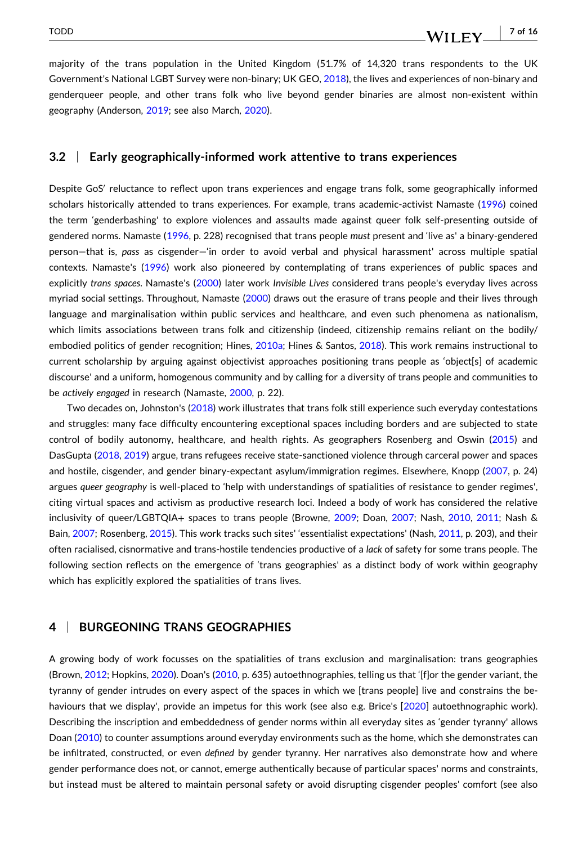majority of the trans population in the United Kingdom (51.7% of 14,320 trans respondents to the UK Government's National LGBT Survey were non-binary; UK GEO, [2018\)](#page-16-0), the lives and experiences of non-binary and genderqueer people, and other trans folk who live beyond gender binaries are almost non‐existent within geography (Anderson, [2019](#page-12-0); see also March, [2020\)](#page-14-0).

#### **3.2** <sup>|</sup> **Early geographically‐informed work attentive to trans experiences**

Despite GoS<sup>'</sup> reluctance to reflect upon trans experiences and engage trans folk, some geographically informed scholars historically attended to trans experiences. For example, trans academic‐activist Namaste [\(1996\)](#page-14-0) coined the term 'genderbashing' to explore violences and assaults made against queer folk self‐presenting outside of gendered norms. Namaste ([1996](#page-14-0), p. 228) recognised that trans people *must* present and 'live as' a binary‐gendered person—that is, *pass* as cisgender—'in order to avoid verbal and physical harassment' across multiple spatial contexts. Namaste's [\(1996\)](#page-14-0) work also pioneered by contemplating of trans experiences of public spaces and explicitly *trans spaces*. Namaste's [\(2000\)](#page-14-0) later work *Invisible Lives* considered trans people's everyday lives across myriad social settings. Throughout, Namaste ([2000](#page-14-0)) draws out the erasure of trans people and their lives through language and marginalisation within public services and healthcare, and even such phenomena as nationalism, which limits associations between trans folk and citizenship (indeed, citizenship remains reliant on the bodily/ embodied politics of gender recognition; Hines, [2010a;](#page-13-0) Hines & Santos, [2018](#page-13-0)). This work remains instructional to current scholarship by arguing against objectivist approaches positioning trans people as 'object[s] of academic discourse' and a uniform, homogenous community and by calling for a diversity of trans people and communities to be *actively engaged* in research (Namaste, [2000](#page-14-0), p. 22).

Two decades on, Johnston's ([2018](#page-14-0)) work illustrates that trans folk still experience such everyday contestations and struggles: many face difficulty encountering exceptional spaces including borders and are subjected to state control of bodily autonomy, healthcare, and health rights. As geographers Rosenberg and Oswin [\(2015\)](#page-15-0) and DasGupta [\(2018,](#page-13-0) [2019\)](#page-13-0) argue, trans refugees receive state-sanctioned violence through carceral power and spaces and hostile, cisgender, and gender binary‐expectant asylum/immigration regimes. Elsewhere, Knopp ([2007](#page-14-0), p. 24) argues *queer* geography is well-placed to 'help with understandings of spatialities of resistance to gender regimes', citing virtual spaces and activism as productive research loci. Indeed a body of work has considered the relative inclusivity of queer/LGBTQIA+ spaces to trans people (Browne, [2009](#page-12-0); Doan, [2007](#page-13-0); Nash, [2010,](#page-14-0) [2011](#page-14-0); Nash & Bain, [2007](#page-14-0); Rosenberg, [2015](#page-15-0)). This work tracks such sites' 'essentialist expectations' (Nash, [2011,](#page-14-0) p. 203), and their often racialised, cisnormative and trans‐hostile tendencies productive of a *lack* of safety for some trans people. The following section reflects on the emergence of 'trans geographies' as a distinct body of work within geography which has explicitly explored the spatialities of trans lives.

#### **4** <sup>|</sup> **BURGEONING TRANS GEOGRAPHIES**

A growing body of work focusses on the spatialities of trans exclusion and marginalisation: trans geographies (Brown, [2012](#page-12-0); Hopkins, [2020](#page-13-0)). Doan's ([2010](#page-13-0), p. 635) autoethnographies, telling us that '[f]or the gender variant, the tyranny of gender intrudes on every aspect of the spaces in which we [trans people] live and constrains the be-haviours that we display', provide an impetus for this work (see also e.g. Brice's [\[2020\]](#page-12-0) autoethnographic work). Describing the inscription and embeddedness of gender norms within all everyday sites as 'gender tyranny' allows Doan ([2010](#page-13-0)) to counter assumptions around everyday environments such as the home, which she demonstrates can be infiltrated, constructed, or even *defined* by gender tyranny. Her narratives also demonstrate how and where gender performance does not, or cannot, emerge authentically because of particular spaces' norms and constraints, but instead must be altered to maintain personal safety or avoid disrupting cisgender peoples' comfort (see also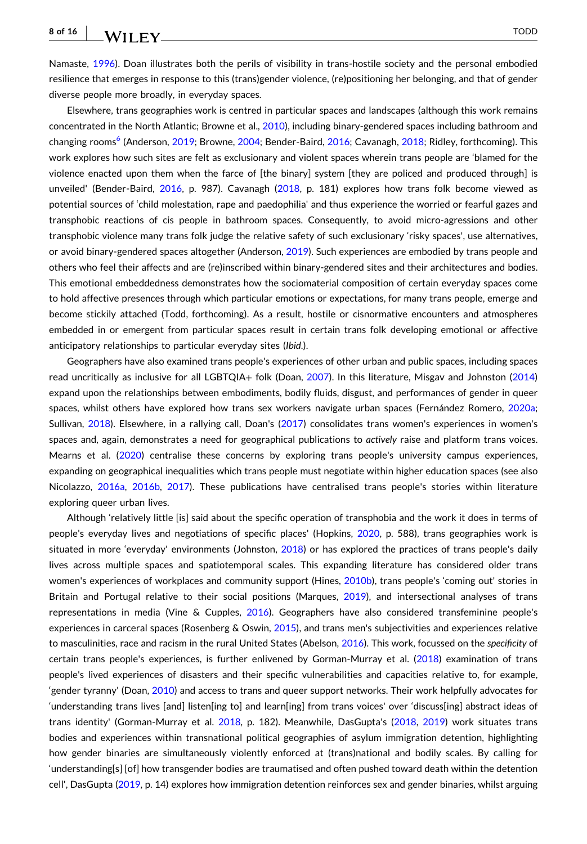resilience that emerges in response to this (trans)gender violence, (re)positioning her belonging, and that of gender diverse people more broadly, in everyday spaces.

Elsewhere, trans geographies work is centred in particular spaces and landscapes (although this work remains concentrated in the North Atlantic; Browne et al., [2010](#page-12-0)), including binary-gendered spaces including bathroom and changing rooms<sup>6</sup> (Anderson, [2019;](#page-12-0) Browne, [2004;](#page-12-0) Bender-Baird, [2016;](#page-12-0) Cavanagh, [2018](#page-12-0); Ridley, forthcoming). This work explores how such sites are felt as exclusionary and violent spaces wherein trans people are 'blamed for the violence enacted upon them when the farce of [the binary] system [they are policed and produced through] is unveiled' (Bender‐Baird, [2016](#page-12-0), p. 987). Cavanagh [\(2018,](#page-12-0) p. 181) explores how trans folk become viewed as potential sources of 'child molestation, rape and paedophilia' and thus experience the worried or fearful gazes and transphobic reactions of cis people in bathroom spaces. Consequently, to avoid micro‐agressions and other transphobic violence many trans folk judge the relative safety of such exclusionary 'risky spaces', use alternatives, or avoid binary‐gendered spaces altogether (Anderson, [2019\)](#page-12-0). Such experiences are embodied by trans people and others who feel their affects and are (re)inscribed within binary‐gendered sites and their architectures and bodies. This emotional embeddedness demonstrates how the sociomaterial composition of certain everyday spaces come to hold affective presences through which particular emotions or expectations, for many trans people, emerge and become stickily attached (Todd, forthcoming). As a result, hostile or cisnormative encounters and atmospheres embedded in or emergent from particular spaces result in certain trans folk developing emotional or affective anticipatory relationships to particular everyday sites (*Ibid*.).

Geographers have also examined trans people's experiences of other urban and public spaces, including spaces read uncritically as inclusive for all LGBTQIA+ folk (Doan, [2007\)](#page-13-0). In this literature, Misgav and Johnston [\(2014\)](#page-14-0) expand upon the relationships between embodiments, bodily fluids, disgust, and performances of gender in queer spaces, whilst others have explored how trans sex workers navigate urban spaces (Fernández Romero, [2020a](#page-13-0); Sullivan, [2018](#page-15-0)). Elsewhere, in a rallying call, Doan's [\(2017\)](#page-13-0) consolidates trans women's experiences in women's spaces and, again, demonstrates a need for geographical publications to *actively* raise and platform trans voices. Mearns et al. [\(2020\)](#page-14-0) centralise these concerns by exploring trans people's university campus experiences, expanding on geographical inequalities which trans people must negotiate within higher education spaces (see also Nicolazzo, [2016a](#page-14-0), [2016b](#page-15-0), [2017\)](#page-15-0). These publications have centralised trans people's stories within literature exploring queer urban lives.

Although 'relatively little [is] said about the specific operation of transphobia and the work it does in terms of people's everyday lives and negotiations of specific places' (Hopkins, [2020,](#page-13-0) p. 588), trans geographies work is situated in more 'everyday' environments (Johnston, [2018\)](#page-14-0) or has explored the practices of trans people's daily lives across multiple spaces and spatiotemporal scales. This expanding literature has considered older trans women's experiences of workplaces and community support (Hines, [2010b](#page-13-0)), trans people's 'coming out' stories in Britain and Portugal relative to their social positions (Marques, [2019](#page-14-0)), and intersectional analyses of trans representations in media (Vine & Cupples, [2016](#page-16-0)). Geographers have also considered transfeminine people's experiences in carceral spaces (Rosenberg & Oswin, [2015\)](#page-15-0), and trans men's subjectivities and experiences relative to masculinities, race and racism in the rural United States (Abelson, [2016\)](#page-12-0). This work, focussed on the *specificity* of certain trans people's experiences, is further enlivened by Gorman‐Murray et al. [\(2018](#page-13-0)) examination of trans people's lived experiences of disasters and their specific vulnerabilities and capacities relative to, for example, 'gender tyranny' (Doan, [2010](#page-13-0)) and access to trans and queer support networks. Their work helpfully advocates for 'understanding trans lives [and] listen[ing to] and learn[ing] from trans voices' over 'discuss[ing] abstract ideas of trans identity' (Gorman‐Murray et al. [2018,](#page-13-0) p. 182). Meanwhile, DasGupta's [\(2018,](#page-13-0) [2019\)](#page-13-0) work situates trans bodies and experiences within transnational political geographies of asylum immigration detention, highlighting how gender binaries are simultaneously violently enforced at (trans)national and bodily scales. By calling for 'understanding[s] [of] how transgender bodies are traumatised and often pushed toward death within the detention cell', DasGupta ([2019](#page-13-0), p. 14) explores how immigration detention reinforces sex and gender binaries, whilst arguing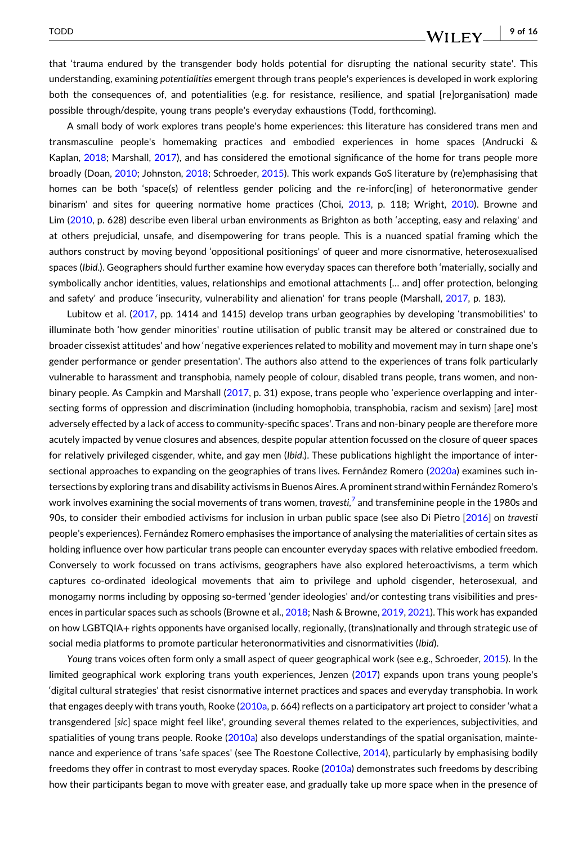#### - **9 of 16**WILEY

that 'trauma endured by the transgender body holds potential for disrupting the national security state'. This understanding, examining *potentialities* emergent through trans people's experiences is developed in work exploring both the consequences of, and potentialities (e.g. for resistance, resilience, and spatial [re]organisation) made possible through/despite, young trans people's everyday exhaustions (Todd, forthcoming).

A small body of work explores trans people's home experiences: this literature has considered trans men and transmasculine people's homemaking practices and embodied experiences in home spaces (Andrucki & Kaplan, [2018;](#page-12-0) Marshall, [2017\)](#page-14-0), and has considered the emotional significance of the home for trans people more broadly (Doan, [2010](#page-13-0); Johnston, [2018;](#page-14-0) Schroeder, [2015\)](#page-15-0). This work expands GoS literature by (re)emphasising that homes can be both 'space(s) of relentless gender policing and the re-inforc[ing] of heteronormative gender binarism' and sites for queering normative home practices (Choi, [2013](#page-13-0), p. 118; Wright, [2010](#page-16-0)). Browne and Lim ([2010](#page-12-0), p. 628) describe even liberal urban environments as Brighton as both 'accepting, easy and relaxing' and at others prejudicial, unsafe, and disempowering for trans people. This is a nuanced spatial framing which the authors construct by moving beyond 'oppositional positionings' of queer and more cisnormative, heterosexualised spaces (*Ibid*.). Geographers should further examine how everyday spaces can therefore both 'materially, socially and symbolically anchor identities, values, relationships and emotional attachments [… and] offer protection, belonging and safety' and produce 'insecurity, vulnerability and alienation' for trans people (Marshall, [2017,](#page-14-0) p. 183).

Lubitow et al. [\(2017,](#page-14-0) pp. 1414 and 1415) develop trans urban geographies by developing 'transmobilities' to illuminate both 'how gender minorities' routine utilisation of public transit may be altered or constrained due to broader cissexist attitudes' and how 'negative experiences related to mobility and movement may in turn shape one's gender performance or gender presentation'. The authors also attend to the experiences of trans folk particularly vulnerable to harassment and transphobia, namely people of colour, disabled trans people, trans women, and non‐ binary people. As Campkin and Marshall [\(2017,](#page-12-0) p. 31) expose, trans people who 'experience overlapping and intersecting forms of oppression and discrimination (including homophobia, transphobia, racism and sexism) [are] most adversely effected by a lack of access to community‐specific spaces'. Trans and non‐binary people are therefore more acutely impacted by venue closures and absences, despite popular attention focussed on the closure of queer spaces for relatively privileged cisgender, white, and gay men (*Ibid*.). These publications highlight the importance of inter-sectional approaches to expanding on the geographies of trans lives. Fernández Romero ([2020a](#page-13-0)) examines such intersections by exploring trans and disability activisms in Buenos Aires. A prominent strand within Fernández Romero's work involves examining the social movements of trans women, *travesti,*[7](#page-12-0) and transfeminine people in the 1980s and 90s, to consider their embodied activisms for inclusion in urban public space (see also Di Pietro [[2016](#page-13-0)] on *travesti* people's experiences). Fernández Romero emphasises the importance of analysing the materialities of certain sites as holding influence over how particular trans people can encounter everyday spaces with relative embodied freedom. Conversely to work focussed on trans activisms, geographers have also explored heteroactivisms, a term which captures co-ordinated ideological movements that aim to privilege and uphold cisgender, heterosexual, and monogamy norms including by opposing so-termed 'gender ideologies' and/or contesting trans visibilities and presences in particular spaces such as schools (Browne et al., [2018](#page-12-0); Nash & Browne, [2019,](#page-14-0) [2021](#page-14-0)). This work has expanded on how LGBTQIA+ rights opponents have organised locally, regionally, (trans)nationally and through strategic use of social media platforms to promote particular heteronormativities and cisnormativities (*Ibid*).

*Young* trans voices often form only a small aspect of queer geographical work (see e.g., Schroeder, [2015\)](#page-15-0). In the limited geographical work exploring trans youth experiences, Jenzen [\(2017\)](#page-14-0) expands upon trans young people's 'digital cultural strategies' that resist cisnormative internet practices and spaces and everyday transphobia. In work that engages deeply with trans youth, Rooke [\(2010a,](#page-15-0) p. 664) reflects on a participatory art project to consider 'what a transgendered [*sic*] space might feel like', grounding several themes related to the experiences, subjectivities, and spatialities of young trans people. Rooke [\(2010a\)](#page-15-0) also develops understandings of the spatial organisation, maintenance and experience of trans 'safe spaces' (see The Roestone Collective, [2014](#page-15-0)), particularly by emphasising bodily freedoms they offer in contrast to most everyday spaces. Rooke ([2010a](#page-15-0)) demonstrates such freedoms by describing how their participants began to move with greater ease, and gradually take up more space when in the presence of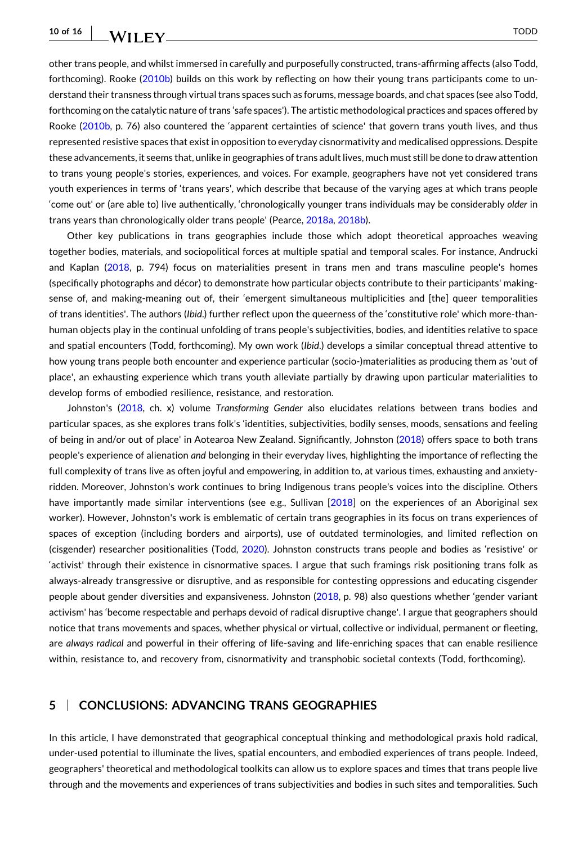$WII$  FY  $\qquad \qquad$   $\qquad \qquad$   $\qquad \qquad$   $\qquad \qquad$   $\qquad \qquad$   $\qquad \qquad$   $\qquad \qquad$   $\qquad$   $\qquad \qquad$   $\qquad$   $\qquad$   $\qquad$   $\qquad$   $\qquad$   $\qquad$   $\qquad$   $\qquad$   $\qquad$   $\qquad$   $\qquad$   $\qquad$   $\qquad$   $\qquad$   $\qquad$   $\qquad$   $\qquad$   $\qquad$   $\qquad$   $\qquad$   $\qquad$   $\qquad$   $\q$ 

other trans people, and whilst immersed in carefully and purposefully constructed, trans‐affirming affects (also Todd, forthcoming). Rooke ([2010b](#page-15-0)) builds on this work by reflecting on how their young trans participants come to understand their transness through virtual trans spaces such as forums, message boards, and chat spaces (see also Todd, forthcoming on the catalytic nature of trans 'safe spaces'). The artistic methodological practices and spaces offered by Rooke [\(2010b,](#page-15-0) p. 76) also countered the 'apparent certainties of science' that govern trans youth lives, and thus represented resistive spaces that existin opposition to everyday cisnormativity and medicalised oppressions. Despite these advancements, it seems that, unlike in geographies of trans adult lives, much must still be done to draw attention to trans young people's stories, experiences, and voices. For example, geographers have not yet considered trans youth experiences in terms of 'trans years', which describe that because of the varying ages at which trans people 'come out' or (are able to) live authentically, 'chronologically younger trans individuals may be considerably *older* in trans years than chronologically older trans people' (Pearce, [2018a](#page-15-0), [2018b\)](#page-15-0).

Other key publications in trans geographies include those which adopt theoretical approaches weaving together bodies, materials, and sociopolitical forces at multiple spatial and temporal scales. For instance, Andrucki and Kaplan [\(2018,](#page-12-0) p. 794) focus on materialities present in trans men and trans masculine people's homes (specifically photographs and décor) to demonstrate how particular objects contribute to their participants' making‐ sense of, and making-meaning out of, their 'emergent simultaneous multiplicities and [the] queer temporalities of trans identities'. The authors (*Ibid*.) further reflect upon the queerness of the 'constitutive role' which more‐than‐ human objects play in the continual unfolding of trans people's subjectivities, bodies, and identities relative to space and spatial encounters (Todd, forthcoming). My own work (*Ibid*.) develops a similar conceptual thread attentive to how young trans people both encounter and experience particular (socio-)materialities as producing them as 'out of place', an exhausting experience which trans youth alleviate partially by drawing upon particular materialities to develop forms of embodied resilience, resistance, and restoration.

Johnston's [\(2018,](#page-14-0) ch. x) volume *Transforming Gender* also elucidates relations between trans bodies and particular spaces, as she explores trans folk's 'identities, subjectivities, bodily senses, moods, sensations and feeling of being in and/or out of place' in Aotearoa New Zealand. Significantly, Johnston ([2018](#page-14-0)) offers space to both trans people's experience of alienation *and* belonging in their everyday lives, highlighting the importance of reflecting the full complexity of trans live as often joyful and empowering, in addition to, at various times, exhausting and anxietyridden. Moreover, Johnston's work continues to bring Indigenous trans people's voices into the discipline. Others have importantly made similar interventions (see e.g., Sullivan [\[2018\]](#page-15-0) on the experiences of an Aboriginal sex worker). However, Johnston's work is emblematic of certain trans geographies in its focus on trans experiences of spaces of exception (including borders and airports), use of outdated terminologies, and limited reflection on (cisgender) researcher positionalities (Todd, [2020](#page-15-0)). Johnston constructs trans people and bodies as 'resistive' or 'activist' through their existence in cisnormative spaces. I argue that such framings risk positioning trans folk as always‐already transgressive or disruptive, and as responsible for contesting oppressions and educating cisgender people about gender diversities and expansiveness. Johnston [\(2018,](#page-14-0) p. 98) also questions whether 'gender variant activism' has 'become respectable and perhaps devoid of radical disruptive change'. I argue that geographers should notice that trans movements and spaces, whether physical or virtual, collective or individual, permanent or fleeting, are *always radical* and powerful in their offering of life‐saving and life‐enriching spaces that can enable resilience within, resistance to, and recovery from, cisnormativity and transphobic societal contexts (Todd, forthcoming).

### **5** <sup>|</sup> **CONCLUSIONS: ADVANCING TRANS GEOGRAPHIES**

In this article, I have demonstrated that geographical conceptual thinking and methodological praxis hold radical, under‐used potential to illuminate the lives, spatial encounters, and embodied experiences of trans people. Indeed, geographers' theoretical and methodological toolkits can allow us to explore spaces and times that trans people live through and the movements and experiences of trans subjectivities and bodies in such sites and temporalities. Such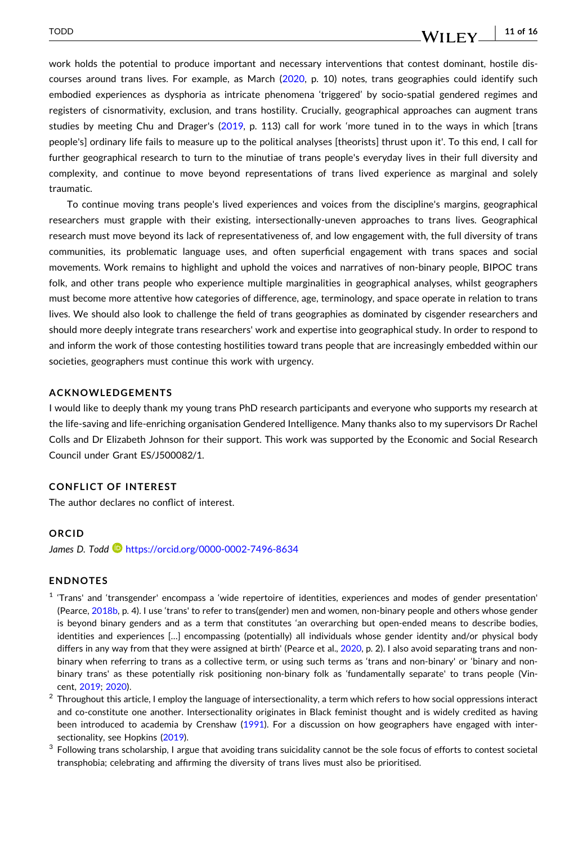#### WILEY **W**

<span id="page-11-0"></span>work holds the potential to produce important and necessary interventions that contest dominant, hostile discourses around trans lives. For example, as March [\(2020,](#page-14-0) p. 10) notes, trans geographies could identify such embodied experiences as dysphoria as intricate phenomena 'triggered' by socio-spatial gendered regimes and registers of cisnormativity, exclusion, and trans hostility. Crucially, geographical approaches can augment trans studies by meeting Chu and Drager's ([2019](#page-13-0), p. 113) call for work 'more tuned in to the ways in which [trans people's] ordinary life fails to measure up to the political analyses [theorists] thrust upon it'. To this end, I call for further geographical research to turn to the minutiae of trans people's everyday lives in their full diversity and complexity, and continue to move beyond representations of trans lived experience as marginal and solely traumatic.

To continue moving trans people's lived experiences and voices from the discipline's margins, geographical researchers must grapple with their existing, intersectionally-uneven approaches to trans lives. Geographical research must move beyond its lack of representativeness of, and low engagement with, the full diversity of trans communities, its problematic language uses, and often superficial engagement with trans spaces and social movements. Work remains to highlight and uphold the voices and narratives of non‐binary people, BIPOC trans folk, and other trans people who experience multiple marginalities in geographical analyses, whilst geographers must become more attentive how categories of difference, age, terminology, and space operate in relation to trans lives. We should also look to challenge the field of trans geographies as dominated by cisgender researchers and should more deeply integrate trans researchers' work and expertise into geographical study. In order to respond to and inform the work of those contesting hostilities toward trans people that are increasingly embedded within our societies, geographers must continue this work with urgency.

#### **ACKNOWLEDGEMENTS**

I would like to deeply thank my young trans PhD research participants and everyone who supports my research at the life‐saving and life‐enriching organisation Gendered Intelligence. Many thanks also to my supervisors Dr Rachel Colls and Dr Elizabeth Johnson for their support. This work was supported by the Economic and Social Research Council under Grant ES/J500082/1.

#### **CONFLICT OF INTEREST**

The author declares no conflict of interest.

#### **ORCID**

*James D. Todd* <https://orcid.org/0000-0002-7496-8634>

#### **ENDNOTES**

- <sup>1</sup> 'Trans' and 'transgender' encompass a 'wide repertoire of identities, experiences and modes of gender presentation' (Pearce, [2018b](#page-15-0), p. 4). I use 'trans' to refer to trans(gender) men and women, non‐binary people and others whose gender is beyond binary genders and as a term that constitutes 'an overarching but open-ended means to describe bodies, identities and experiences […] encompassing (potentially) all individuals whose gender identity and/or physical body differs in any way from that they were assigned at birth' (Pearce et al., [2020,](#page-15-0) p. 2). I also avoid separating trans and nonbinary when referring to trans as a collective term, or using such terms as 'trans and non-binary' or 'binary and nonbinary trans' as these potentially risk positioning non‐binary folk as 'fundamentally separate' to trans people (Vincent, [2019;](#page-16-0) [2020\)](#page-16-0).
- $2$  Throughout this article, I employ the language of intersectionality, a term which refers to how social oppressions interact and co-constitute one another. Intersectionality originates in Black feminist thought and is widely credited as having been introduced to academia by Crenshaw ([1991](#page-13-0)). For a discussion on how geographers have engaged with intersectionality, see Hopkins ([2019\)](#page-13-0).
- $3$  Following trans scholarship, I argue that avoiding trans suicidality cannot be the sole focus of efforts to contest societal transphobia; celebrating and affirming the diversity of trans lives must also be prioritised.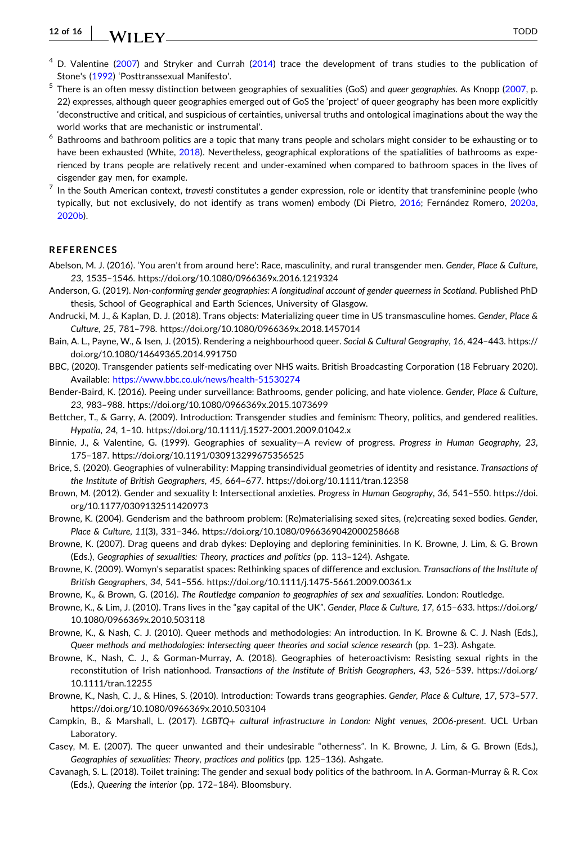<span id="page-12-0"></span>**12 of 16** WII FY TODD

- D. Valentine ([2007](#page-16-0)) and Stryker and Currah [\(2014\)](#page-15-0) trace the development of trans studies to the publication of Stone's ([1992](#page-15-0)) 'Posttranssexual Manifesto'.
- <sup>5</sup> There is an often messy distinction between geographies of sexualities (GoS) and *queer geographies*. As Knopp [\(2007,](#page-14-0) p. 22) expresses, although queer geographies emerged out of GoS the 'project' of queer geography has been more explicitly 'deconstructive and critical, and suspicious of certainties, universal truths and ontological imaginations about the way the world works that are mechanistic or instrumental'.
- $6$  Bathrooms and bathroom politics are a topic that many trans people and scholars might consider to be exhausting or to have been exhausted (White, [2018](#page-16-0)). Nevertheless, geographical explorations of the spatialities of bathrooms as experienced by trans people are relatively recent and under‐examined when compared to bathroom spaces in the lives of cisgender gay men, for example.
- <sup>7</sup> In the South American context, *travesti* constitutes a gender expression, role or identity that transfeminine people (who typically, but not exclusively, do not identify as trans women) embody (Di Pietro, [2016;](#page-13-0) Fernández Romero, [2020a,](#page-13-0) [2020b\)](#page-13-0).

#### **REFERENCES**

- Abelson, M. J. (2016). 'You aren't from around here': Race, masculinity, and rural transgender men. *Gender, Place & Culture*, *23*, 1535–1546. <https://doi.org/10.1080/0966369x.2016.1219324>
- Anderson, G. (2019). *Non‐conforming gender geographies: A longitudinal account of gender queerness in Scotland*. Published PhD thesis, School of Geographical and Earth Sciences, University of Glasgow.
- Andrucki, M. J., & Kaplan, D. J. (2018). Trans objects: Materializing queer time in US transmasculine homes. *Gender, Place & Culture*, *25*, 781–798. <https://doi.org/10.1080/0966369x.2018.1457014>
- Bain, A. L., Payne, W., & Isen, J. (2015). Rendering a neighbourhood queer. *Social & Cultural Geography*, *16*, 424–443. [https://](https://doi.org/10.1080/14649365.2014.991750) [doi.org/10.1080/14649365.2014.991750](https://doi.org/10.1080/14649365.2014.991750)
- BBC, (2020). Transgender patients self‐medicating over NHS waits. British Broadcasting Corporation (18 February 2020). Available: [https://www.bbc.co.uk/news/health](https://www.bbc.co.uk/news/health-51530274)‐51530274
- Bender‐Baird, K. (2016). Peeing under surveillance: Bathrooms, gender policing, and hate violence. *Gender, Place & Culture*, *23*, 983–988. <https://doi.org/10.1080/0966369x.2015.1073699>
- Bettcher, T., & Garry, A. (2009). Introduction: Transgender studies and feminism: Theory, politics, and gendered realities. *Hypatia*, *24*, 1–10. [https://doi.org/10.1111/j.1527](https://doi.org/10.1111/j.1527-2001.2009.01042.x)‐2001.2009.01042.x
- Binnie, J., & Valentine, G. (1999). Geographies of sexuality—A review of progress. *Progress in Human Geography*, *23*, 175–187. <https://doi.org/10.1191/030913299675356525>
- Brice, S. (2020). Geographies of vulnerability: Mapping transindividual geometries of identity and resistance. *Transactions of the Institute of British Geographers*, *45*, 664–677. <https://doi.org/10.1111/tran.12358>
- Brown, M. (2012). Gender and sexuality I: Intersectional anxieties. *Progress in Human Geography*, *36*, 541–550. [https://doi.](https://doi.org/10.1177/0309132511420973) [org/10.1177/0309132511420973](https://doi.org/10.1177/0309132511420973)
- Browne, K. (2004). Genderism and the bathroom problem: (Re)materialising sexed sites, (re)creating sexed bodies. *Gender, Place & Culture*, *11*(3), 331–346. <https://doi.org/10.1080/0966369042000258668>
- Browne, K. (2007). Drag queens and drab dykes: Deploying and deploring femininities. In K. Browne, J. Lim, & G. Brown (Eds.), *Geographies of sexualities: Theory, practices and politics* (pp. 113–124). Ashgate.
- Browne, K. (2009). Womyn's separatist spaces: Rethinking spaces of difference and exclusion. *Transactions of the Institute of British Geographers*, *34*, 541–556. [https://doi.org/10.1111/j.1475](https://doi.org/10.1111/j.1475-5661.2009.00361.x)‐5661.2009.00361.x
- Browne, K., & Brown, G. (2016). *The Routledge companion to geographies of sex and sexualities*. London: Routledge.
- Browne, K., & Lim, J. (2010). Trans lives in the "gay capital of the UK". *Gender, Place & Culture*, *17*, 615–633. [https://doi.org/](https://doi.org/10.1080/0966369x.2010.503118) [10.1080/0966369x.2010.503118](https://doi.org/10.1080/0966369x.2010.503118)
- Browne, K., & Nash, C. J. (2010). Queer methods and methodologies: An introduction. In K. Browne & C. J. Nash (Eds.), *Queer methods and methodologies: Intersecting queer theories and social science research* (pp. 1–23). Ashgate.
- Browne, K., Nash, C. J., & Gorman‐Murray, A. (2018). Geographies of heteroactivism: Resisting sexual rights in the reconstitution of Irish nationhood. *Transactions of the Institute of British Geographers*, *43*, 526–539. [https://doi.org/](https://doi.org/10.1111/tran.12255) [10.1111/tran.12255](https://doi.org/10.1111/tran.12255)
- Browne, K., Nash, C. J., & Hines, S. (2010). Introduction: Towards trans geographies. *Gender, Place & Culture*, *17*, 573–577. <https://doi.org/10.1080/0966369x.2010.503104>
- Campkin, B., & Marshall, L. (2017). *LGBTQ*+ *cultural infrastructure in London: Night venues, 2006‐present*. UCL Urban Laboratory.
- Casey, M. E. (2007). The queer unwanted and their undesirable "otherness". In K. Browne, J. Lim, & G. Brown (Eds.), *Geographies of sexualities: Theory, practices and politics* (pp. 125–136). Ashgate.
- Cavanagh, S. L. (2018). Toilet training: The gender and sexual body politics of the bathroom. In A. Gorman‐Murray & R. Cox (Eds.), *Queering the interior* (pp. 172–184). Bloomsbury.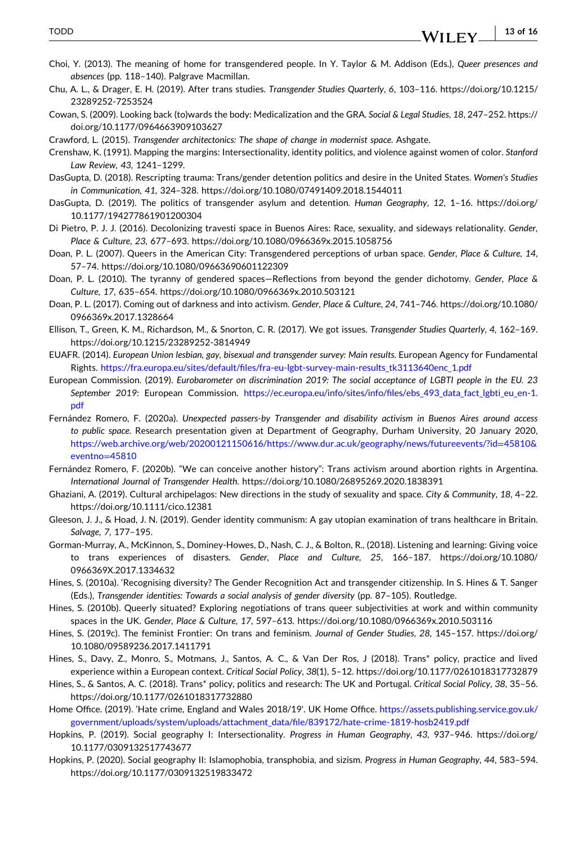- **13 of 16**WILEY\_

- <span id="page-13-0"></span>Choi, Y. (2013). The meaning of home for transgendered people. In Y. Taylor & M. Addison (Eds.), *Queer presences and absences* (pp. 118–140). Palgrave Macmillan.
- Chu, A. L., & Drager, E. H. (2019). After trans studies. *Transgender Studies Quarterly*, *6*, 103–116. [https://doi.org/10.1215/](https://doi.org/10.1215/23289252-7253524) [23289252](https://doi.org/10.1215/23289252-7253524)‐7253524
- Cowan, S. (2009). Looking back (to)wards the body: Medicalization and the GRA. *Social & Legal Studies*, *18*, 247–252. [https://](https://doi.org/10.1177/0964663909103627) [doi.org/10.1177/0964663909103627](https://doi.org/10.1177/0964663909103627)
- Crawford, L. (2015). *Transgender architectonics: The shape of change in modernist space*. Ashgate.
- Crenshaw, K. (1991). Mapping the margins: Intersectionality, identity politics, and violence against women of color. *Stanford Law Review*, *43*, 1241–1299.
- DasGupta, D. (2018). Rescripting trauma: Trans/gender detention politics and desire in the United States. *Women's Studies in Communication*, *41*, 324–328. <https://doi.org/10.1080/07491409.2018.1544011>
- DasGupta, D. (2019). The politics of transgender asylum and detention. *Human Geography*, *12*, 1–16. [https://doi.org/](https://doi.org/10.1177/194277861901200304) [10.1177/194277861901200304](https://doi.org/10.1177/194277861901200304)
- Di Pietro, P. J. J. (2016). Decolonizing travesti space in Buenos Aires: Race, sexuality, and sideways relationality. *Gender, Place & Culture*, *23*, 677–693. <https://doi.org/10.1080/0966369x.2015.1058756>
- Doan, P. L. (2007). Queers in the American City: Transgendered perceptions of urban space. *Gender, Place & Culture*, *14*, 57–74. <https://doi.org/10.1080/09663690601122309>
- Doan, P. L. (2010). The tyranny of gendered spaces—Reflections from beyond the gender dichotomy. *Gender, Place & Culture*, *17*, 635–654. <https://doi.org/10.1080/0966369x.2010.503121>
- Doan, P. L. (2017). Coming out of darkness and into activism. *Gender, Place & Culture*, *24*, 741–746. [https://doi.org/10.1080/](https://doi.org/10.1080/0966369x.2017.1328664) [0966369x.2017.1328664](https://doi.org/10.1080/0966369x.2017.1328664)
- Ellison, T., Green, K. M., Richardson, M., & Snorton, C. R. (2017). We got issues. *Transgender Studies Quarterly*, *4*, 162–169. [https://doi.org/10.1215/23289252](https://doi.org/10.1215/23289252-3814949)‐3814949
- EUAFR. (2014). *European Union lesbian, gay, bisexual and transgender survey: Main results*. European Agency for Fundamental Rights. [https://fra.europa.eu/sites/default/files/fra](https://fra.europa.eu/sites/default/files/fra-eu-lgbt-survey-main-results_tk3113640enc_1.pdf)‐eu‐lgbt‐survey‐main‐results\_tk3113640enc\_1.pdf
- European Commission. (2019). *Eurobarometer on discrimination 2019: The social acceptance of LGBTI people in the EU. 23 September 2019*: European Commission. [https://ec.europa.eu/info/sites/info/files/ebs\\_493\\_data\\_fact\\_lgbti\\_eu\\_en](https://ec.europa.eu/info/sites/info/files/ebs_493_data_fact_lgbti_eu_en-1.pdf)‐1. [pdf](https://ec.europa.eu/info/sites/info/files/ebs_493_data_fact_lgbti_eu_en-1.pdf)
- Fernández Romero, F. (2020a). *Unexpected passers‐by Transgender and disability activism in Buenos Aires around access to public space*. Research presentation given at Department of Geography, Durham University, 20 January 2020, [https://web.archive.org/web/20200121150616/https://www.dur.ac.uk/geography/news/futureevents/?id](https://web.archive.org/web/20200121150616/https://www.dur.ac.uk/geography/news/futureevents/?id=45810%26eventno=45810)=45810& [eventno](https://web.archive.org/web/20200121150616/https://www.dur.ac.uk/geography/news/futureevents/?id=45810%26eventno=45810)=45810
- Fernández Romero, F. (2020b). "We can conceive another history": Trans activism around abortion rights in Argentina. *International Journal of Transgender Health*. <https://doi.org/10.1080/26895269.2020.1838391>
- Ghaziani, A. (2019). Cultural archipelagos: New directions in the study of sexuality and space. *City & Community*, *18*, 4–22. <https://doi.org/10.1111/cico.12381>
- Gleeson, J. J., & Hoad, J. N. (2019). Gender identity communism: A gay utopian examination of trans healthcare in Britain. *Salvage*, *7*, 177–195.
- Gorman‐Murray, A., McKinnon, S., Dominey‐Howes, D., Nash, C. J., & Bolton, R., (2018). Listening and learning: Giving voice to trans experiences of disasters. *Gender, Place and Culture*, *25*, 166–187. [https://doi.org/10.1080/](https://doi.org/10.1080/0966369X.2017.1334632) [0966369X.2017.1334632](https://doi.org/10.1080/0966369X.2017.1334632)
- Hines, S. (2010a). 'Recognising diversity? The Gender Recognition Act and transgender citizenship. In S. Hines & T. Sanger (Eds.), *Transgender identities: Towards a social analysis of gender diversity* (pp. 87–105). Routledge.
- Hines, S. (2010b). Queerly situated? Exploring negotiations of trans queer subjectivities at work and within community spaces in the UK. *Gender, Place & Culture*, *17*, 597–613. <https://doi.org/10.1080/0966369x.2010.503116>
- Hines, S. (2019c). The feminist Frontier: On trans and feminism. *Journal of Gender Studies*, *28*, 145–157. [https://doi.org/](https://doi.org/10.1080/09589236.2017.1411791) [10.1080/09589236.2017.1411791](https://doi.org/10.1080/09589236.2017.1411791)
- Hines, S., Davy, Z., Monro, S., Motmans, J., Santos, A. C., & Van Der Ros, J (2018). Trans\* policy, practice and lived experience within a European context. *Critical Social Policy*, *38*(1), 5–12. <https://doi.org/10.1177/0261018317732879>
- Hines, S., & Santos, A. C. (2018). Trans\* policy, politics and research: The UK and Portugal. *Critical Social Policy*, *38*, 35–56. <https://doi.org/10.1177/0261018317732880>
- Home Office. (2019). 'Hate crime, England and Wales 2018/19'. UK Home Office. [https://assets.publishing.service.gov.uk/](https://assets.publishing.service.gov.uk/government/uploads/system/uploads/attachment_data/file/839172/hate-crime-1819-hosb2419.pdf) [government/uploads/system/uploads/attachment\\_data/file/839172/hate](https://assets.publishing.service.gov.uk/government/uploads/system/uploads/attachment_data/file/839172/hate-crime-1819-hosb2419.pdf)‐crime‐1819‐hosb2419.pdf
- Hopkins, P. (2019). Social geography I: Intersectionality. *Progress in Human Geography*, *43*, 937–946. [https://doi.org/](https://doi.org/10.1177/0309132517743677) [10.1177/0309132517743677](https://doi.org/10.1177/0309132517743677)
- Hopkins, P. (2020). Social geography II: Islamophobia, transphobia, and sizism. *Progress in Human Geography*, *44*, 583–594. <https://doi.org/10.1177/0309132519833472>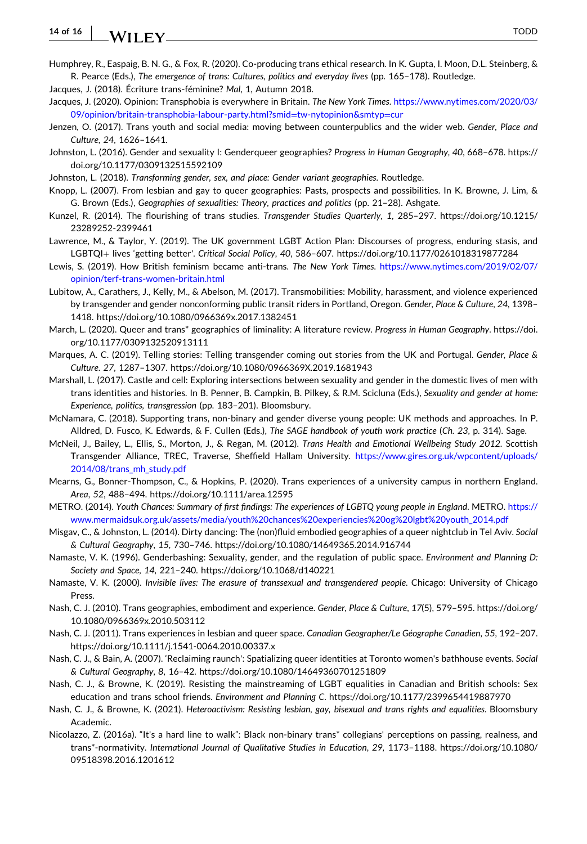#### <span id="page-14-0"></span>**14 of 16** WILEY
<sup>TODD</sup>

- Humphrey, R., Easpaig, B. N. G., & Fox, R. (2020). Co‐producing trans ethical research. In K. Gupta, I. Moon, D.L. Steinberg, & R. Pearce (Eds.), *The emergence of trans: Cultures, politics and everyday lives* (pp. 165–178). Routledge.
- Jacques, J. (2018). Écriture trans‐féminine? *Mal*, 1, Autumn 2018.
- Jacques, J. (2020). Opinion: Transphobia is everywhere in Britain. *The New York Times*. [https://www.nytimes.com/2020/03/](https://www.nytimes.com/2020/03/09/opinion/britain-transphobia-labour-party.html?smid=tw-nytopinion%26smtyp=cur) 09/opinion/britain‐transphobia‐labour‐party.html?smid=tw‐[nytopinion&smtyp](https://www.nytimes.com/2020/03/09/opinion/britain-transphobia-labour-party.html?smid=tw-nytopinion%26smtyp=cur)=cur
- Jenzen, O. (2017). Trans youth and social media: moving between counterpublics and the wider web. *Gender, Place and Culture*, *24*, 1626–1641.
- Johnston, L. (2016). Gender and sexuality I: Genderqueer geographies? *Progress in Human Geography*, *40*, 668–678. [https://](https://doi.org/10.1177/0309132515592109) [doi.org/10.1177/0309132515592109](https://doi.org/10.1177/0309132515592109)
- Johnston, L. (2018). *Transforming gender, sex, and place: Gender variant geographies*. Routledge.
- Knopp, L. (2007). From lesbian and gay to queer geographies: Pasts, prospects and possibilities. In K. Browne, J. Lim, & G. Brown (Eds.), *Geographies of sexualities: Theory, practices and politics* (pp. 21–28). Ashgate.
- Kunzel, R. (2014). The flourishing of trans studies. *Transgender Studies Quarterly*, *1*, 285–297. [https://doi.org/10.1215/](https://doi.org/10.1215/23289252-2399461) [23289252](https://doi.org/10.1215/23289252-2399461)‐2399461
- Lawrence, M., & Taylor, Y. (2019). The UK government LGBT Action Plan: Discourses of progress, enduring stasis, and LGBTQI+ lives 'getting better'. *Critical Social Policy*, *40*, 586–607. <https://doi.org/10.1177/0261018319877284>
- Lewis, S. (2019). How British feminism became anti‐trans. *The New York Times*. [https://www.nytimes.com/2019/02/07/](https://www.nytimes.com/2019/02/07/opinion/terf-trans-women-britain.html) [opinion/terf](https://www.nytimes.com/2019/02/07/opinion/terf-trans-women-britain.html)‐trans‐women‐britain.html
- Lubitow, A., Carathers, J., Kelly, M., & Abelson, M. (2017). Transmobilities: Mobility, harassment, and violence experienced by transgender and gender nonconforming public transit riders in Portland, Oregon. *Gender, Place & Culture*, *24*, 1398– 1418. <https://doi.org/10.1080/0966369x.2017.1382451>
- March, L. (2020). Queer and trans\* geographies of liminality: A literature review. *Progress in Human Geography*. [https://doi.](https://doi.org/10.1177/0309132520913111) [org/10.1177/0309132520913111](https://doi.org/10.1177/0309132520913111)
- Marques, A. C. (2019). Telling stories: Telling transgender coming out stories from the UK and Portugal. *Gender, Place & Culture*. *27*, 1287–1307. <https://doi.org/10.1080/0966369X.2019.1681943>
- Marshall, L. (2017). Castle and cell: Exploring intersections between sexuality and gender in the domestic lives of men with trans identities and histories. In B. Penner, B. Campkin, B. Pilkey, & R.M. Scicluna (Eds.), *Sexuality and gender at home: Experience, politics, transgression* (pp. 183–201). Bloomsbury.
- McNamara, C. (2018). Supporting trans, non‐binary and gender diverse young people: UK methods and approaches. In P. Alldred, D. Fusco, K. Edwards, & F. Cullen (Eds.), *The SAGE handbook of youth work practice* (*Ch. 23*, p. 314). Sage.
- McNeil, J., Bailey, L., Ellis, S., Morton, J., & Regan, M. (2012). *Trans Health and Emotional Wellbeing Study 2012*. Scottish Transgender Alliance, TREC, Traverse, Sheffield Hallam University. [https://www.gires.org.uk/wpcontent/uploads/](https://www.gires.org.uk/wpcontent/uploads/2014/08/trans_mh_study.pdf) [2014/08/trans\\_mh\\_study.pdf](https://www.gires.org.uk/wpcontent/uploads/2014/08/trans_mh_study.pdf)
- Mearns, G., Bonner‐Thompson, C., & Hopkins, P. (2020). Trans experiences of a university campus in northern England. *Area*, *52*, 488–494. <https://doi.org/10.1111/area.12595>
- METRO. (2014). *Youth Chances: Summary of first findings: The experiences of LGBTQ young people in England*. METRO. [https://](https://www.mermaidsuk.org.uk/assets/media/youth%20chances%20experiencies%20og%20lgbt%20youth_2014.pdf) [www.mermaidsuk.org.uk/assets/media/youth%20chances%20experiencies%20og%20lgbt%20youth\\_2014.pdf](https://www.mermaidsuk.org.uk/assets/media/youth%20chances%20experiencies%20og%20lgbt%20youth_2014.pdf)
- Misgav, C., & Johnston, L. (2014). Dirty dancing: The (non)fluid embodied geographies of a queer nightclub in Tel Aviv. *Social & Cultural Geography*, *15*, 730–746. <https://doi.org/10.1080/14649365.2014.916744>
- Namaste, V. K. (1996). Genderbashing: Sexuality, gender, and the regulation of public space. *Environment and Planning D: Society and Space*, *14*, 221–240. <https://doi.org/10.1068/d140221>
- Namaste, V. K. (2000). *Invisible lives: The erasure of transsexual and transgendered people*. Chicago: University of Chicago Press.
- Nash, C. J. (2010). Trans geographies, embodiment and experience. *Gender, Place & Culture*, *17*(5), 579–595. [https://doi.org/](https://doi.org/10.1080/0966369x.2010.503112) [10.1080/0966369x.2010.503112](https://doi.org/10.1080/0966369x.2010.503112)
- Nash, C. J. (2011). Trans experiences in lesbian and queer space. *Canadian Geographer/Le Géographe Canadien*, *55*, 192–207. [https://doi.org/10.1111/j.1541](https://doi.org/10.1111/j.1541-0064.2010.00337.x)‐0064.2010.00337.x
- Nash, C. J., & Bain, A. (2007). 'Reclaiming raunch': Spatializing queer identities at Toronto women's bathhouse events. *Social & Cultural Geography*, *8*, 16–42. <https://doi.org/10.1080/14649360701251809>
- Nash, C. J., & Browne, K. (2019). Resisting the mainstreaming of LGBT equalities in Canadian and British schools: Sex education and trans school friends. *Environment and Planning C*. <https://doi.org/10.1177/2399654419887970>
- Nash, C. J., & Browne, K. (2021). *Heteroactivism: Resisting lesbian, gay, bisexual and trans rights and equalities*. Bloomsbury Academic.
- Nicolazzo, Z. (2016a). "It's a hard line to walk": Black non‐binary trans\* collegians' perceptions on passing, realness, and trans\*‐normativity. *International Journal of Qualitative Studies in Education*, *29*, 1173–1188. [https://doi.org/10.1080/](https://doi.org/10.1080/09518398.2016.1201612) [09518398.2016.1201612](https://doi.org/10.1080/09518398.2016.1201612)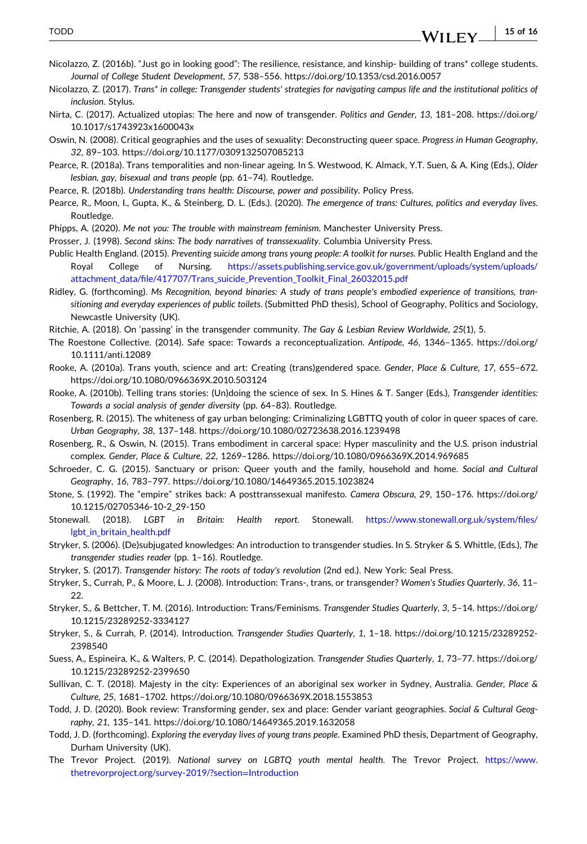- <span id="page-15-0"></span>Nicolazzo, Z. (2016b). "Just go in looking good": The resilience, resistance, and kinship‐ building of trans\* college students. *Journal of College Student Development*, *57*, 538–556. <https://doi.org/10.1353/csd.2016.0057>
- Nicolazzo, Z. (2017). Trans\* in college: Transgender students' strategies for navigating campus life and the institutional politics of *inclusion*. Stylus.
- Nirta, C. (2017). Actualized utopias: The here and now of transgender. *Politics and Gender*, *13*, 181–208. [https://doi.org/](https://doi.org/10.1017/s1743923x1600043x) [10.1017/s1743923x1600043x](https://doi.org/10.1017/s1743923x1600043x)
- Oswin, N. (2008). Critical geographies and the uses of sexuality: Deconstructing queer space. *Progress in Human Geography*, *32*, 89–103. <https://doi.org/10.1177/0309132507085213>
- Pearce, R. (2018a). Trans temporalities and non‐linear ageing. In S. Westwood, K. Almack, Y.T. Suen, & A. King (Eds.), *Older lesbian, gay, bisexual and trans people* (pp. 61–74). Routledge.
- Pearce, R. (2018b). *Understanding trans health: Discourse, power and possibility*. Policy Press.
- Pearce, R., Moon, I., Gupta, K., & Steinberg, D. L. (Eds.). (2020). *The emergence of trans: Cultures, politics and everyday lives*. Routledge.
- Phipps, A. (2020). *Me not you: The trouble with mainstream feminism*. Manchester University Press.
- Prosser, J. (1998). *Second skins: The body narratives of transsexuality*. Columbia University Press.
- Public Health England. (2015). *Preventing suicide among trans young people: A toolkit for nurses*. Public Health England and the Royal College of Nursing. [https://assets.publishing.service.gov.uk/government/uploads/system/uploads/](https://assets.publishing.service.gov.uk/government/uploads/system/uploads/attachment_data/file/417707/Trans_suicide_Prevention_Toolkit_Final_26032015.pdf) [attachment\\_data/file/417707/Trans\\_suicide\\_Prevention\\_Toolkit\\_Final\\_26032015.pdf](https://assets.publishing.service.gov.uk/government/uploads/system/uploads/attachment_data/file/417707/Trans_suicide_Prevention_Toolkit_Final_26032015.pdf)
- Ridley, G. (forthcoming). Ms Recognition, beyond binaries: A study of trans people's embodied experience of transitions, tran*sitioning and everyday experiences of public toilets*. (Submitted PhD thesis), School of Geography, Politics and Sociology, Newcastle University (UK).
- Ritchie, A. (2018). On 'passing' in the transgender community. *The Gay & Lesbian Review Worldwide*, *25*(1), 5.
- The Roestone Collective. (2014). Safe space: Towards a reconceptualization. *Antipode*, *46*, 1346–1365. [https://doi.org/](https://doi.org/10.1111/anti.12089) [10.1111/anti.12089](https://doi.org/10.1111/anti.12089)
- Rooke, A. (2010a). Trans youth, science and art: Creating (trans)gendered space. *Gender, Place & Culture*, *17*, 655–672. <https://doi.org/10.1080/0966369X.2010.503124>
- Rooke, A. (2010b). Telling trans stories: (Un)doing the science of sex. In S. Hines & T. Sanger (Eds.), *Transgender identities: Towards a social analysis of gender diversity* (pp. 64–83). Routledge.
- Rosenberg, R. (2015). The whiteness of gay urban belonging: Criminalizing LGBTTQ youth of color in queer spaces of care. *Urban Geography*, *38*, 137–148. <https://doi.org/10.1080/02723638.2016.1239498>
- Rosenberg, R., & Oswin, N. (2015). Trans embodiment in carceral space: Hyper masculinity and the U.S. prison industrial complex. *Gender, Place & Culture*, *22*, 1269–1286. <https://doi.org/10.1080/0966369X.2014.969685>
- Schroeder, C. G. (2015). Sanctuary or prison: Queer youth and the family, household and home. *Social and Cultural Geography*, *16*, 783–797. <https://doi.org/10.1080/14649365.2015.1023824>
- Stone, S. (1992). The "empire" strikes back: A posttranssexual manifesto. *Camera Obscura*, *29*, 150–176. [https://doi.org/](https://doi.org/10.1215/02705346-10-2_29-150) [10.1215/02705346](https://doi.org/10.1215/02705346-10-2_29-150)‐10‐2\_29‐150
- Stonewall. (2018). *LGBT in Britain: Health report*. Stonewall. [https://www.stonewall.org.uk/system/files/](https://www.stonewall.org.uk/system/files/lgbt_in_britain_health.pdf) [lgbt\\_in\\_britain\\_health.pdf](https://www.stonewall.org.uk/system/files/lgbt_in_britain_health.pdf)
- Stryker, S. (2006). (De)subjugated knowledges: An introduction to transgender studies. In S. Stryker & S. Whittle, (Eds.), *The transgender studies reader* (pp. 1–16). Routledge.
- Stryker, S. (2017). *Transgender history: The roots of today's revolution* (2nd ed.). New York: Seal Press.
- Stryker, S., Currah, P., & Moore, L. J. (2008). Introduction: Trans‐, trans, or transgender? *Women's Studies Quarterly*, *36*, 11– 22.
- Stryker, S., & Bettcher, T. M. (2016). Introduction: Trans/Feminisms. *Transgender Studies Quarterly*, *3*, 5–14. [https://doi.org/](https://doi.org/10.1215/23289252-3334127) [10.1215/23289252](https://doi.org/10.1215/23289252-3334127)‐3334127
- Stryker, S., & Currah, P. (2014). Introduction. *Transgender Studies Quarterly*, *1*, 1–18. [https://doi.org/10.1215/23289252](https://doi.org/10.1215/23289252-2398540)‐ [2398540](https://doi.org/10.1215/23289252-2398540)
- Suess, A., Espineira, K., & Walters, P. C. (2014). Depathologization. *Transgender Studies Quarterly*, *1*, 73–77. [https://doi.org/](https://doi.org/10.1215/23289252-2399650) [10.1215/23289252](https://doi.org/10.1215/23289252-2399650)‐2399650
- Sullivan, C. T. (2018). Majesty in the city: Experiences of an aboriginal sex worker in Sydney, Australia. *Gender, Place & Culture*, *25*, 1681–1702. <https://doi.org/10.1080/0966369X.2018.1553853>
- Todd, J. D. (2020). Book review: Transforming gender, sex and place: Gender variant geographies. *Social & Cultural Geography*, *21*, 135–141. <https://doi.org/10.1080/14649365.2019.1632058>
- Todd, J. D. (forthcoming). *Exploring the everyday lives of young trans people*. Examined PhD thesis, Department of Geography, Durham University (UK).
- The Trevor Project. (2019). *National survey on LGBTQ youth mental health*. The Trevor Project. [https://www.](https://www.thetrevorproject.org/survey-2019/?section=Introduction) [thetrevorproject.org/survey](https://www.thetrevorproject.org/survey-2019/?section=Introduction)‐2019/?section=Introduction